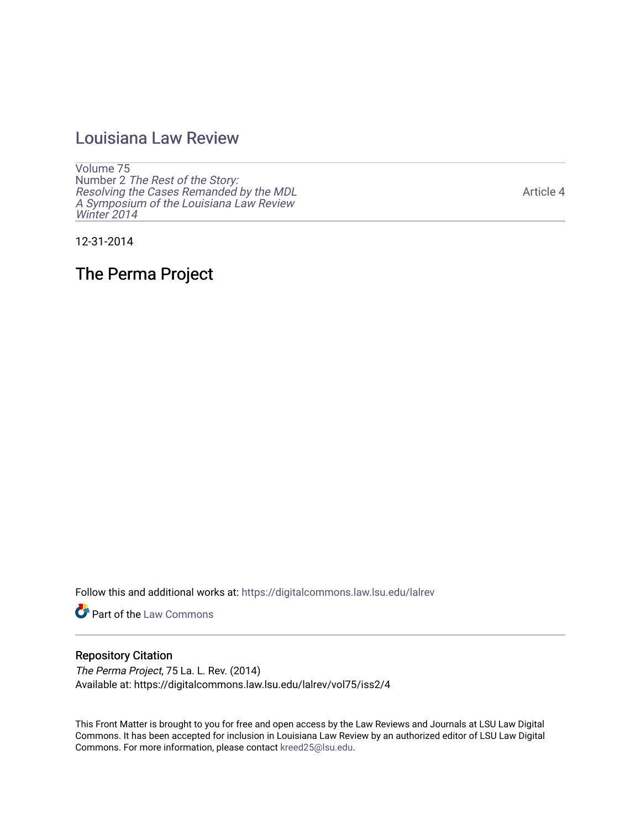## [Louisiana Law Review](https://digitalcommons.law.lsu.edu/lalrev)

[Volume 75](https://digitalcommons.law.lsu.edu/lalrev/vol75) Number 2 [The Rest of the Story:](https://digitalcommons.law.lsu.edu/lalrev/vol75/iss2)  [Resolving the Cases Remanded by the MDL](https://digitalcommons.law.lsu.edu/lalrev/vol75/iss2)  [A Symposium of the Louisiana Law Review](https://digitalcommons.law.lsu.edu/lalrev/vol75/iss2) [Winter 2014](https://digitalcommons.law.lsu.edu/lalrev/vol75/iss2)

12-31-2014

The Perma Project

Follow this and additional works at: [https://digitalcommons.law.lsu.edu/lalrev](https://digitalcommons.law.lsu.edu/lalrev?utm_source=digitalcommons.law.lsu.edu%2Flalrev%2Fvol75%2Fiss2%2F4&utm_medium=PDF&utm_campaign=PDFCoverPages)

Part of the [Law Commons](http://network.bepress.com/hgg/discipline/578?utm_source=digitalcommons.law.lsu.edu%2Flalrev%2Fvol75%2Fiss2%2F4&utm_medium=PDF&utm_campaign=PDFCoverPages)

## Repository Citation

The Perma Project, 75 La. L. Rev. (2014) Available at: https://digitalcommons.law.lsu.edu/lalrev/vol75/iss2/4

This Front Matter is brought to you for free and open access by the Law Reviews and Journals at LSU Law Digital Commons. It has been accepted for inclusion in Louisiana Law Review by an authorized editor of LSU Law Digital Commons. For more information, please contact [kreed25@lsu.edu](mailto:kreed25@lsu.edu).

[Article 4](https://digitalcommons.law.lsu.edu/lalrev/vol75/iss2/4)